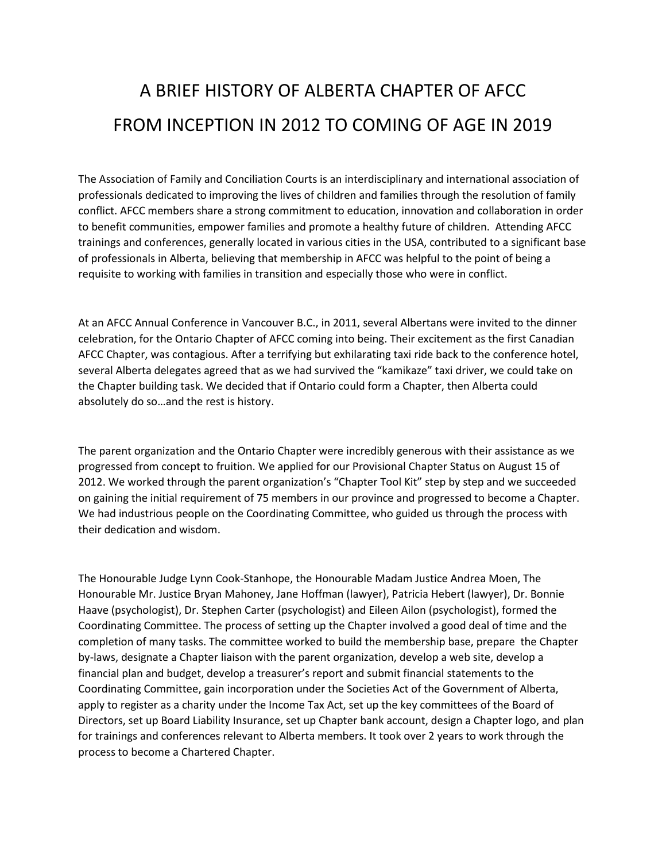## A BRIEF HISTORY OF ALBERTA CHAPTER OF AFCC FROM INCEPTION IN 2012 TO COMING OF AGE IN 2019

The Association of Family and Conciliation Courts is an interdisciplinary and international association of professionals dedicated to improving the lives of children and families through the resolution of family conflict. AFCC members share a strong commitment to education, innovation and collaboration in order to benefit communities, empower families and promote a healthy future of children. Attending AFCC trainings and conferences, generally located in various cities in the USA, contributed to a significant base of professionals in Alberta, believing that membership in AFCC was helpful to the point of being a requisite to working with families in transition and especially those who were in conflict.

At an AFCC Annual Conference in Vancouver B.C., in 2011, several Albertans were invited to the dinner celebration, for the Ontario Chapter of AFCC coming into being. Their excitement as the first Canadian AFCC Chapter, was contagious. After a terrifying but exhilarating taxi ride back to the conference hotel, several Alberta delegates agreed that as we had survived the "kamikaze" taxi driver, we could take on the Chapter building task. We decided that if Ontario could form a Chapter, then Alberta could absolutely do so…and the rest is history.

The parent organization and the Ontario Chapter were incredibly generous with their assistance as we progressed from concept to fruition. We applied for our Provisional Chapter Status on August 15 of 2012. We worked through the parent organization's "Chapter Tool Kit" step by step and we succeeded on gaining the initial requirement of 75 members in our province and progressed to become a Chapter. We had industrious people on the Coordinating Committee, who guided us through the process with their dedication and wisdom.

The Honourable Judge Lynn Cook-Stanhope, the Honourable Madam Justice Andrea Moen, The Honourable Mr. Justice Bryan Mahoney, Jane Hoffman (lawyer), Patricia Hebert (lawyer), Dr. Bonnie Haave (psychologist), Dr. Stephen Carter (psychologist) and Eileen Ailon (psychologist), formed the Coordinating Committee. The process of setting up the Chapter involved a good deal of time and the completion of many tasks. The committee worked to build the membership base, prepare the Chapter by-laws, designate a Chapter liaison with the parent organization, develop a web site, develop a financial plan and budget, develop a treasurer's report and submit financial statements to the Coordinating Committee, gain incorporation under the Societies Act of the Government of Alberta, apply to register as a charity under the Income Tax Act, set up the key committees of the Board of Directors, set up Board Liability Insurance, set up Chapter bank account, design a Chapter logo, and plan for trainings and conferences relevant to Alberta members. It took over 2 years to work through the process to become a Chartered Chapter.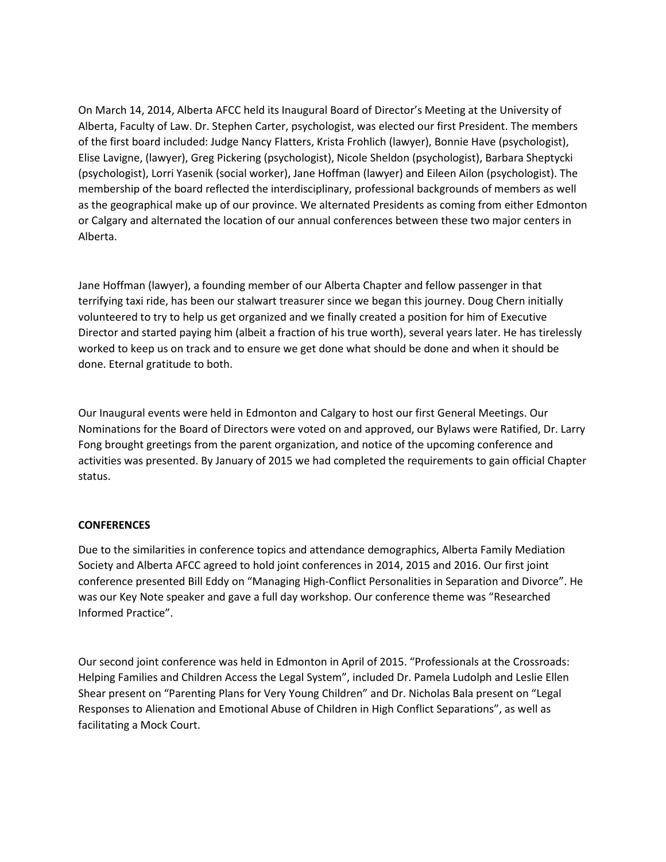On March 14, 2014, Alberta AFCC held its Inaugural Board of Director's Meeting at the University of Alberta, Faculty of Law. Dr. Stephen Carter, psychologist, was elected our first President. The members of the first board included: Judge Nancy Flatters, Krista Frohlich (lawyer), Bonnie Have (psychologist), Elise Lavigne, (lawyer), Greg Pickering (psychologist), Nicole Sheldon (psychologist), Barbara Sheptycki (psychologist), Lorri Yasenik (social worker), Jane Hoffman (lawyer) and Eileen Ailon (psychologist). The membership of the board reflected the interdisciplinary, professional backgrounds of members as well as the geographical make up of our province. We alternated Presidents as coming from either Edmonton or Calgary and alternated the location of our annual conferences between these two major centers in Alberta.

Jane Hoffman (lawyer), a founding member of our Alberta Chapter and fellow passenger in that terrifying taxi ride, has been our stalwart treasurer since we began this journey. Doug Chern initially volunteered to try to help us get organized and we finally created a position for him of Executive Director and started paying him (albeit a fraction of his true worth), several years later. He has tirelessly worked to keep us on track and to ensure we get done what should be done and when it should be done. Eternal gratitude to both.

Our Inaugural events were held in Edmonton and Calgary to host our first General Meetings. Our Nominations for the Board of Directors were voted on and approved, our Bylaws were Ratified, Dr. Larry Fong brought greetings from the parent organization, and notice of the upcoming conference and activities was presented. By January of 2015 we had completed the requirements to gain official Chapter status.

## **CONFERENCES**

Due to the similarities in conference topics and attendance demographics, Alberta Family Mediation Society and Alberta AFCC agreed to hold joint conferences in 2014, 2015 and 2016. Our first joint conference presented Bill Eddy on "Managing High-Conflict Personalities in Separation and Divorce". He was our Key Note speaker and gave a full day workshop. Our conference theme was "Researched Informed Practice".

Our second joint conference was held in Edmonton in April of 2015. "Professionals at the Crossroads: Helping Families and Children Access the Legal System", included Dr. Pamela Ludolph and Leslie Ellen Shear present on "Parenting Plans for Very Young Children" and Dr. Nicholas Bala present on "Legal Responses to Alienation and Emotional Abuse of Children in High Conflict Separations", as well as facilitating a Mock Court.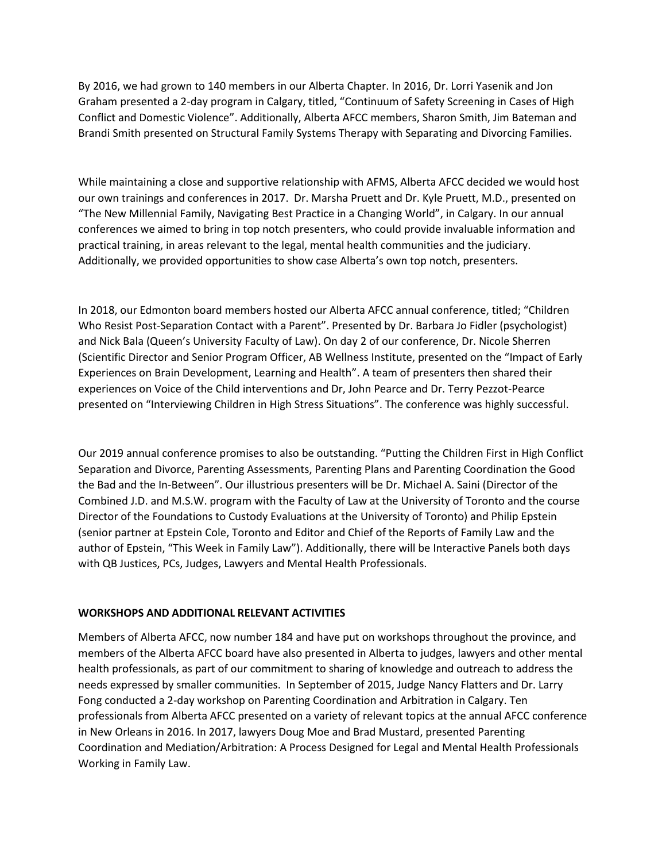By 2016, we had grown to 140 members in our Alberta Chapter. In 2016, Dr. Lorri Yasenik and Jon Graham presented a 2-day program in Calgary, titled, "Continuum of Safety Screening in Cases of High Conflict and Domestic Violence". Additionally, Alberta AFCC members, Sharon Smith, Jim Bateman and Brandi Smith presented on Structural Family Systems Therapy with Separating and Divorcing Families.

While maintaining a close and supportive relationship with AFMS, Alberta AFCC decided we would host our own trainings and conferences in 2017. Dr. Marsha Pruett and Dr. Kyle Pruett, M.D., presented on "The New Millennial Family, Navigating Best Practice in a Changing World", in Calgary. In our annual conferences we aimed to bring in top notch presenters, who could provide invaluable information and practical training, in areas relevant to the legal, mental health communities and the judiciary. Additionally, we provided opportunities to show case Alberta's own top notch, presenters.

In 2018, our Edmonton board members hosted our Alberta AFCC annual conference, titled; "Children Who Resist Post-Separation Contact with a Parent". Presented by Dr. Barbara Jo Fidler (psychologist) and Nick Bala (Queen's University Faculty of Law). On day 2 of our conference, Dr. Nicole Sherren (Scientific Director and Senior Program Officer, AB Wellness Institute, presented on the "Impact of Early Experiences on Brain Development, Learning and Health". A team of presenters then shared their experiences on Voice of the Child interventions and Dr, John Pearce and Dr. Terry Pezzot-Pearce presented on "Interviewing Children in High Stress Situations". The conference was highly successful.

Our 2019 annual conference promises to also be outstanding. "Putting the Children First in High Conflict Separation and Divorce, Parenting Assessments, Parenting Plans and Parenting Coordination the Good the Bad and the In-Between". Our illustrious presenters will be Dr. Michael A. Saini (Director of the Combined J.D. and M.S.W. program with the Faculty of Law at the University of Toronto and the course Director of the Foundations to Custody Evaluations at the University of Toronto) and Philip Epstein (senior partner at Epstein Cole, Toronto and Editor and Chief of the Reports of Family Law and the author of Epstein, "This Week in Family Law"). Additionally, there will be Interactive Panels both days with QB Justices, PCs, Judges, Lawyers and Mental Health Professionals.

## **WORKSHOPS AND ADDITIONAL RELEVANT ACTIVITIES**

Members of Alberta AFCC, now number 184 and have put on workshops throughout the province, and members of the Alberta AFCC board have also presented in Alberta to judges, lawyers and other mental health professionals, as part of our commitment to sharing of knowledge and outreach to address the needs expressed by smaller communities. In September of 2015, Judge Nancy Flatters and Dr. Larry Fong conducted a 2-day workshop on Parenting Coordination and Arbitration in Calgary. Ten professionals from Alberta AFCC presented on a variety of relevant topics at the annual AFCC conference in New Orleans in 2016. In 2017, lawyers Doug Moe and Brad Mustard, presented Parenting Coordination and Mediation/Arbitration: A Process Designed for Legal and Mental Health Professionals Working in Family Law.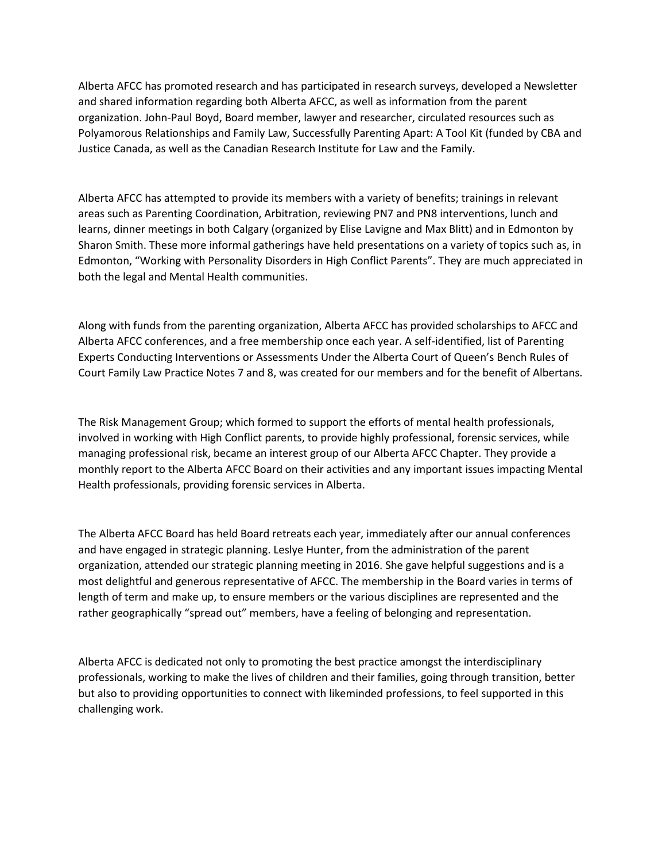Alberta AFCC has promoted research and has participated in research surveys, developed a Newsletter and shared information regarding both Alberta AFCC, as well as information from the parent organization. John-Paul Boyd, Board member, lawyer and researcher, circulated resources such as Polyamorous Relationships and Family Law, Successfully Parenting Apart: A Tool Kit (funded by CBA and Justice Canada, as well as the Canadian Research Institute for Law and the Family.

Alberta AFCC has attempted to provide its members with a variety of benefits; trainings in relevant areas such as Parenting Coordination, Arbitration, reviewing PN7 and PN8 interventions, lunch and learns, dinner meetings in both Calgary (organized by Elise Lavigne and Max Blitt) and in Edmonton by Sharon Smith. These more informal gatherings have held presentations on a variety of topics such as, in Edmonton, "Working with Personality Disorders in High Conflict Parents". They are much appreciated in both the legal and Mental Health communities.

Along with funds from the parenting organization, Alberta AFCC has provided scholarships to AFCC and Alberta AFCC conferences, and a free membership once each year. A self-identified, list of Parenting Experts Conducting Interventions or Assessments Under the Alberta Court of Queen's Bench Rules of Court Family Law Practice Notes 7 and 8, was created for our members and for the benefit of Albertans.

The Risk Management Group; which formed to support the efforts of mental health professionals, involved in working with High Conflict parents, to provide highly professional, forensic services, while managing professional risk, became an interest group of our Alberta AFCC Chapter. They provide a monthly report to the Alberta AFCC Board on their activities and any important issues impacting Mental Health professionals, providing forensic services in Alberta.

The Alberta AFCC Board has held Board retreats each year, immediately after our annual conferences and have engaged in strategic planning. Leslye Hunter, from the administration of the parent organization, attended our strategic planning meeting in 2016. She gave helpful suggestions and is a most delightful and generous representative of AFCC. The membership in the Board varies in terms of length of term and make up, to ensure members or the various disciplines are represented and the rather geographically "spread out" members, have a feeling of belonging and representation.

Alberta AFCC is dedicated not only to promoting the best practice amongst the interdisciplinary professionals, working to make the lives of children and their families, going through transition, better but also to providing opportunities to connect with likeminded professions, to feel supported in this challenging work.